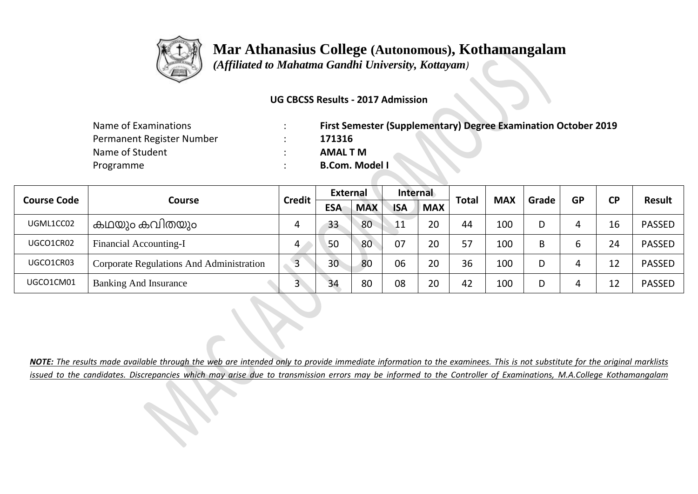

## **Mar Athanasius College (Autonomous), Kothamangalam**

 *(Affiliated to Mahatma Gandhi University, Kottayam)*

## **UG CBCSS Results - 2017 Admission**

| Name of Examinations      | First Semester (Supplementary) Degree Examination October 2019 |
|---------------------------|----------------------------------------------------------------|
| Permanent Register Number | 171316                                                         |
| Name of Student           | AMAL T M                                                       |
| Programme                 | <b>B.Com. Model I</b>                                          |

|                              |                                          | <b>Credit</b>  | <b>External</b> |            | Internal   |            | <b>Total</b> |            |       | <b>GP</b> | <b>CP</b> |               |
|------------------------------|------------------------------------------|----------------|-----------------|------------|------------|------------|--------------|------------|-------|-----------|-----------|---------------|
| <b>Course Code</b><br>Course |                                          |                | <b>ESA</b>      | <b>MAX</b> | <b>ISA</b> | <b>MAX</b> |              | <b>MAX</b> | Grade |           |           | <b>Result</b> |
| UGML1CC02                    | കഥയും കവിതയും                            | 4              | 33              | 80         | 11         | 20         | 44           | 100        |       |           | 16        | <b>PASSED</b> |
| UGCO1CR02                    | <b>Financial Accounting-I</b>            | 4              | 50              | 80         | 07         | 20         | 57           | 100        | B     |           | 24        | <b>PASSED</b> |
| UGCO1CR03                    | Corporate Regulations And Administration | $\overline{3}$ | 30              | 80         | 06         | 20         | 36           | 100        |       |           | ר ו       | <b>PASSED</b> |
| UGCO1CM01                    | <b>Banking And Insurance</b>             | 3              | 34              | 80         | 08         | 20         | 42           | 100        |       |           |           | <b>PASSED</b> |

*NOTE: The results made available through the web are intended only to provide immediate information to the examinees. This is not substitute for the original marklists issued to the candidates. Discrepancies which may arise due to transmission errors may be informed to the Controller of Examinations, M.A.College Kothamangalam*